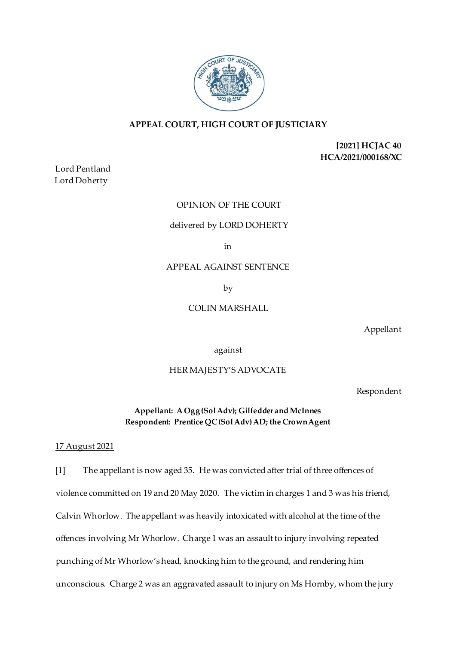

# **APPEAL COURT, HIGH COURT OF JUSTICIARY**

**[2021] HCJAC 40 HCA/2021/000168/XC**

Lord Pentland Lord Doherty

# OPINION OF THE COURT

#### delivered by LORD DOHERTY

in

APPEAL AGAINST SENTENCE

by

# COLIN MARSHALL

Appellant

against

### HER MAJESTY'S ADVOCATE

**Respondent** 

**Appellant: A Ogg (Sol Adv); Gilfedder and McInnes Respondent: Prentice QC (Sol Adv) AD; the Crown Agent** 

### 17 August 2021

[1] The appellant is now aged 35. He was convicted after trial of three offences of violence committed on 19 and 20 May 2020. The victim in charges 1 and 3 was his friend, Calvin Whorlow. The appellant was heavily intoxicated with alcohol at the time of the offences involving Mr Whorlow. Charge 1 was an assault to injury involving repeated punching of Mr Whorlow's head, knocking him to the ground, and rendering him unconscious. Charge 2 was an aggravated assault to injury on Ms Hornby, whom the jury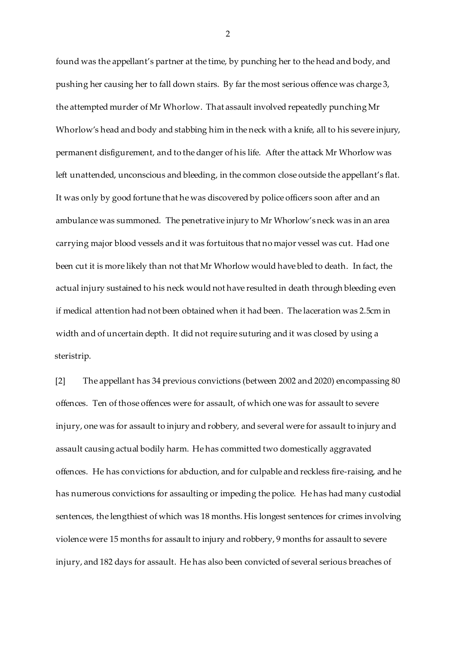found was the appellant's partner at the time, by punching her to the head and body, and pushing her causing her to fall down stairs. By far the most serious offence was charge 3, the attempted murder of Mr Whorlow. That assault involved repeatedly punching Mr Whorlow's head and body and stabbing him in the neck with a knife, all to his severe injury, permanent disfigurement, and to the danger of his life. After the attack Mr Whorlow was left unattended, unconscious and bleeding, in the common close outside the appellant's flat. It was only by good fortune that he was discovered by police officers soon after and an ambulance was summoned. The penetrative injury to Mr Whorlow's neck was in an area carrying major blood vessels and it was fortuitous that no major vessel was cut. Had one been cut it is more likely than not that Mr Whorlow would have bled to death. In fact, the actual injury sustained to his neck would not have resulted in death through bleeding even if medical attention had not been obtained when it had been. The laceration was 2.5cm in width and of uncertain depth. It did not require suturing and it was closed by using a steristrip.

[2] The appellant has 34 previous convictions (between 2002 and 2020) encompassing 80 offences. Ten of those offences were for assault, of which one was for assault to severe injury, one was for assault to injury and robbery, and several were for assault to injury and assault causing actual bodily harm. He has committed two domestically aggravated offences. He has convictions for abduction, and for culpable and reckless fire-raising, and he has numerous convictions for assaulting or impeding the police. He has had many custodial sentences, the lengthiest of which was 18 months. His longest sentences for crimes involving violence were 15 months for assault to injury and robbery, 9 months for assault to severe injury, and 182 days for assault. He has also been convicted of several serious breaches of

2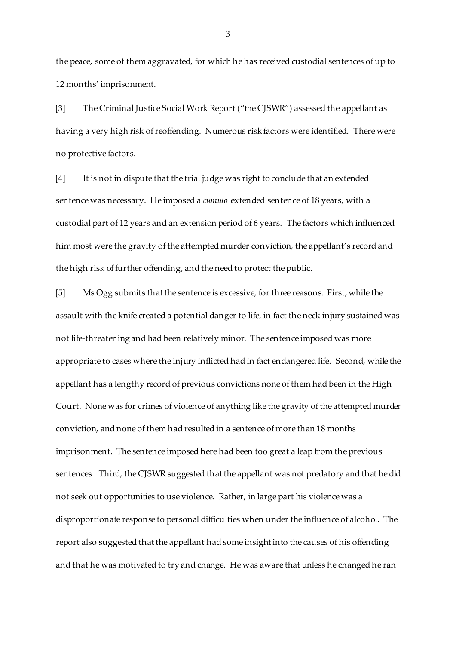the peace, some of them aggravated, for which he has received custodial sentences of up to 12 months' imprisonment.

[3] The Criminal Justice Social Work Report ("the CJSWR") assessed the appellant as having a very high risk of reoffending. Numerous risk factors were identified. There were no protective factors.

[4] It is not in dispute that the trial judge was right to conclude that an extended sentence was necessary. He imposed a *cumulo* extended sentence of 18 years, with a custodial part of 12 years and an extension period of 6 years. The factors which influenced him most were the gravity of the attempted murder conviction, the appellant's record and the high risk of further offending, and the need to protect the public.

[5] Ms Ogg submits that the sentence is excessive, for three reasons. First, while the assault with the knife created a potential danger to life, in fact the neck injury sustained was not life-threatening and had been relatively minor. The sentence imposed was more appropriate to cases where the injury inflicted had in fact endangered life. Second, while the appellant has a lengthy record of previous convictions none of them had been in the High Court. None was for crimes of violence of anything like the gravity of the attempted murder conviction, and none of them had resulted in a sentence of more than 18 months imprisonment. The sentence imposed here had been too great a leap from the previous sentences. Third, the CJSWR suggested that the appellant was not predatory and that he did not seek out opportunities to use violence. Rather, in large part his violence was a disproportionate response to personal difficulties when under the influence of alcohol. The report also suggested that the appellant had some insight into the causes of his offending and that he was motivated to try and change. He was aware that unless he changed he ran

3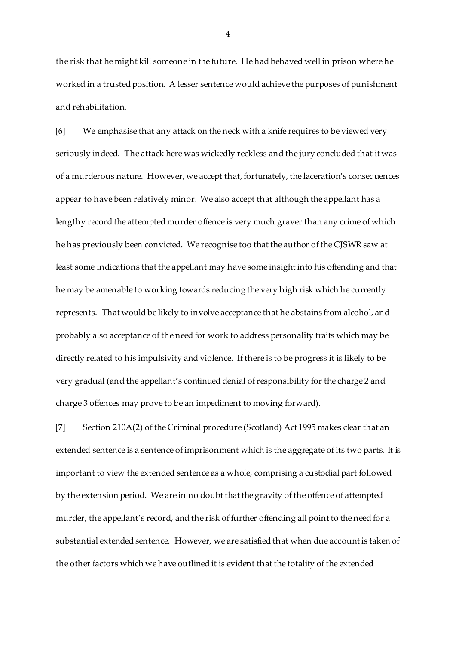the risk that he might kill someone in the future. He had behaved well in prison where he worked in a trusted position. A lesser sentence would achieve the purposes of punishment and rehabilitation.

[6] We emphasise that any attack on the neck with a knife requires to be viewed very seriously indeed. The attack here was wickedly reckless and the jury concluded that it was of a murderous nature. However, we accept that, fortunately, the laceration's consequences appear to have been relatively minor. We also accept that although the appellant has a lengthy record the attempted murder offence is very much graver than any crime of which he has previously been convicted. We recognise too that the author of the CJSWR saw at least some indications that the appellant may have some insight into his offending and that he may be amenable to working towards reducing the very high risk which he currently represents. That would be likely to involve acceptance that he abstains from alcohol, and probably also acceptance of the need for work to address personality traits which may be directly related to his impulsivity and violence. If there is to be progress it is likely to be very gradual (and the appellant's continued denial of responsibility for the charge 2 and charge 3 offences may prove to be an impediment to moving forward).

[7] Section 210A(2) of the Criminal procedure (Scotland) Act 1995 makes clear that an extended sentence is a sentence of imprisonment which is the aggregate of its two parts. It is important to view the extended sentence as a whole, comprising a custodial part followed by the extension period. We are in no doubt that the gravity of the offence of attempted murder, the appellant's record, and the risk of further offending all point to the need for a substantial extended sentence. However, we are satisfied that when due account is taken of the other factors which we have outlined it is evident that the totality of the extended

4